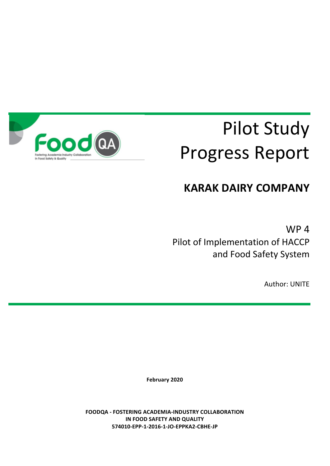

# **Pilot Study** Progress Report

# **KARAK DAIRY COMPANY**

 $WP<sub>4</sub>$ Pilot of Implementation of HACCP and Food Safety System

**Author: UNITE** 

**February 2020**

**FOODQA - FOSTERING ACADEMIA-INDUSTRY COLLABORATION IN FOOD SAFETY AND QUALITY 574010-EPP-1-2016-1-JO-EPPKA2-CBHE-JP**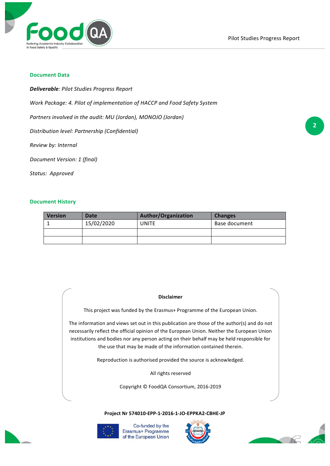

#### **Document Data**

*Deliverable: Pilot Studies Progress Report*

Work Package: 4. Pilot of implementation of HACCP and Food Safety System

*Partners involved in the audit: MU (Jordan), MONOJO (Jordan)* 

*Distribution level: Partnership (Confidential)*

*Review by: Internal*

*Document Version: 1 (final)*

*Status: Approved*

#### **Document History**

| <b>Version</b> | Date       | <b>Author/Organization</b> | <b>Changes</b> |
|----------------|------------|----------------------------|----------------|
|                | 15/02/2020 | UNITE                      | Base document  |
|                |            |                            |                |
|                |            |                            |                |

#### **Disclaimer**

This project was funded by the Erasmus+ Programme of the European Union.

The information and views set out in this publication are those of the author(s) and do not necessarily reflect the official opinion of the European Union. Neither the European Union institutions and bodies nor any person acting on their behalf may be held responsible for the use that may be made of the information contained therein.

Reproduction is authorised provided the source is acknowledged.

All rights reserved

Copyright © FoodQA Consortium, 2016-2019

**Project Nr 574010-EPP-1-2016-1-JO-EPPKA2-CBHE-JP**





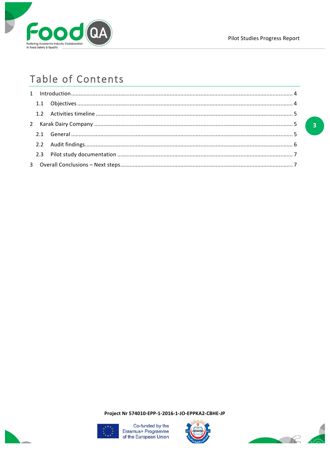

 $\overline{3}$ 

# Table of Contents

Project Nr 574010-EPP-1-2016-1-JO-EPPKA2-CBHE-JP





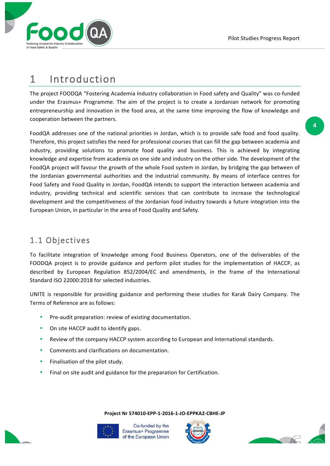

# 1 Introduction

The project FOODQA "Fostering Academia Industry collaboration in Food safety and Quality" was co-funded under the Erasmus+ Programme. The aim of the project is to create a Jordanian network for promoting entrepreneurship and innovation in the food area, at the same time improving the flow of knowledge and cooperation between the partners.

FoodQA addresses one of the national priorities in Jordan, which is to provide safe food and food quality. Therefore, this project satisfies the need for professional courses that can fill the gap between academia and industry, providing solutions to promote food quality and business. This is achieved by integrating knowledge and expertise from academia on one side and industry on the other side. The development of the FoodQA project will favour the growth of the whole Food system in Jordan, by bridging the gap between of the Jordanian governmental authorities and the industrial community. By means of interface centres for Food Safety and Food Quality in Jordan, FoodQA intends to support the interaction between academia and industry, providing technical and scientific services that can contribute to increase the technological development and the competitiveness of the Jordanian food industry towards a future integration into the European Union, in particular in the area of Food Quality and Safety.

## 1.1 Objectives

To facilitate integration of knowledge among Food Business Operators, one of the deliverables of the FOODQA project is to provide guidance and perform pilot studies for the implementation of HACCP, as described by European Regulation 852/2004/EC and amendments, in the frame of the International Standard ISO 22000:2018 for selected industries.

UNITE is responsible for providing guidance and performing these studies for Karak Dairy Company. The Terms of Reference are as follows:

- Pre-audit preparation: review of existing documentation.
- On site HACCP audit to identify gaps.
- Review of the company HACCP system according to European and International standards.
- Comments and clarifications on documentation.
- Finalisation of the pilot study.
- Final on site audit and guidance for the preparation for Certification.

**Project Nr 574010-EPP-1-2016-1-JO-EPPKA2-CBHE-JP**





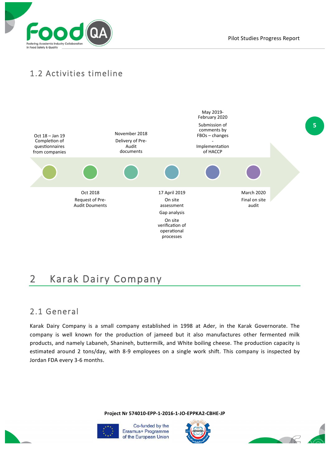

## 1.2 Activities timeline



# 2 Karak Dairy Company

#### 2.1 General

Karak Dairy Company is a small company established in 1998 at Ader, in the Karak Governorate. The company is well known for the production of jameed but it also manufactures other fermented milk products, and namely Labaneh, Shanineh, buttermilk, and White boiling cheese. The production capacity is estimated around 2 tons/day, with 8-9 employees on a single work shift. This company is inspected by Jordan FDA every 3-6 months.

**Project Nr 574010-EPP-1-2016-1-JO-EPPKA2-CBHE-JP**





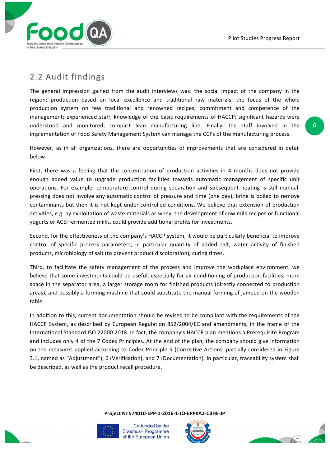

### 2.2 Audit findings

The general impression gained from the audit interviews was: the social impact of the company in the region; production based on local excellence and traditional raw materials; the focus of the whole production system on few traditional and renowned recipes; commitment and competence of the management; experienced staff; knowledge of the basic requirements of HACCP; significant hazards were understood and monitored; compact lean manufacturing line. Finally, the staff involved in the implementation of Food Safety Management System can manage the CCPs of the manufacturing process.

However, as in all organizations, there are opportunities of improvements that are considered in detail below.

First, there was a feeling that the concentration of production activities in 4 months does not provide enough added value to upgrade production facilities towards automatic management of specific unit operations. For example, temperature control during separation and subsequent heating is still manual, pressing does not involve any automatic control of pressure and time (one day), brine is boiled to remove contaminants but then it is not kept under controlled conditions. We believe that extension of production activities, e.g. by exploitation of waste materials as whey, the development of cow milk recipes or functional vogurts or ACEI fermented milks, could provide additional profits for investments.

Second, for the effectiveness of the company's HACCP system, it would be particularly beneficial to improve control of specific process parameters, in particular quantity of added salt, water activity of finished products, microbiology of salt (to prevent product discoloration), curing times.

Third, to facilitate the safety management of the process and improve the workplace environment, we believe that some investments could be useful, especially for air conditioning of production facilities, more space in the separator area, a larger storage room for finished products (directly connected to production areas), and possibly a forming machine that could substitute the manual forming of jameed on the wooden table.

In addition to this, current documentation should be revised to be compliant with the requirements of the HACCP System, as described by European Regulation 852/2004/EC and amendments, in the frame of the International Standard ISO 22000:2018. In fact, the company's HACCP plan mentions a Prerequisite Program and includes only 4 of the 7 Codex Principles. At the end of the plan, the company should give information on the measures applied according to Codex Principle 5 (Corrective Actions, partially considered in Figure 3.1, named as "Adjustment"), 6 (Verification), and 7 (Documentation). In particular, traceability system shall be described, as well as the product recall procedure.

**Project Nr 574010-EPP-1-2016-1-JO-EPPKA2-CBHE-JP**